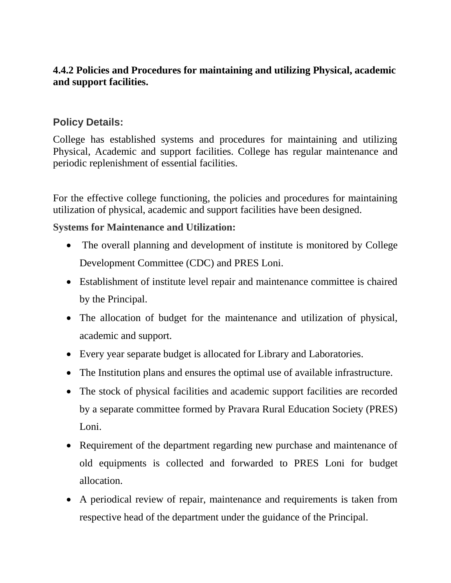## **4.4.2 Policies and Procedures for maintaining and utilizing Physical, academic and support facilities.**

## **Policy Details:**

College has established systems and procedures for maintaining and utilizing Physical, Academic and support facilities. College has regular maintenance and periodic replenishment of essential facilities.

For the effective college functioning, the policies and procedures for maintaining utilization of physical, academic and support facilities have been designed.

## **Systems for Maintenance and Utilization:**

- The overall planning and development of institute is monitored by College Development Committee (CDC) and PRES Loni.
- Establishment of institute level repair and maintenance committee is chaired by the Principal.
- The allocation of budget for the maintenance and utilization of physical, academic and support.
- Every year separate budget is allocated for Library and Laboratories.
- The Institution plans and ensures the optimal use of available infrastructure.
- The stock of physical facilities and academic support facilities are recorded by a separate committee formed by Pravara Rural Education Society (PRES) Loni.
- Requirement of the department regarding new purchase and maintenance of old equipments is collected and forwarded to PRES Loni for budget allocation.
- A periodical review of repair, maintenance and requirements is taken from respective head of the department under the guidance of the Principal.